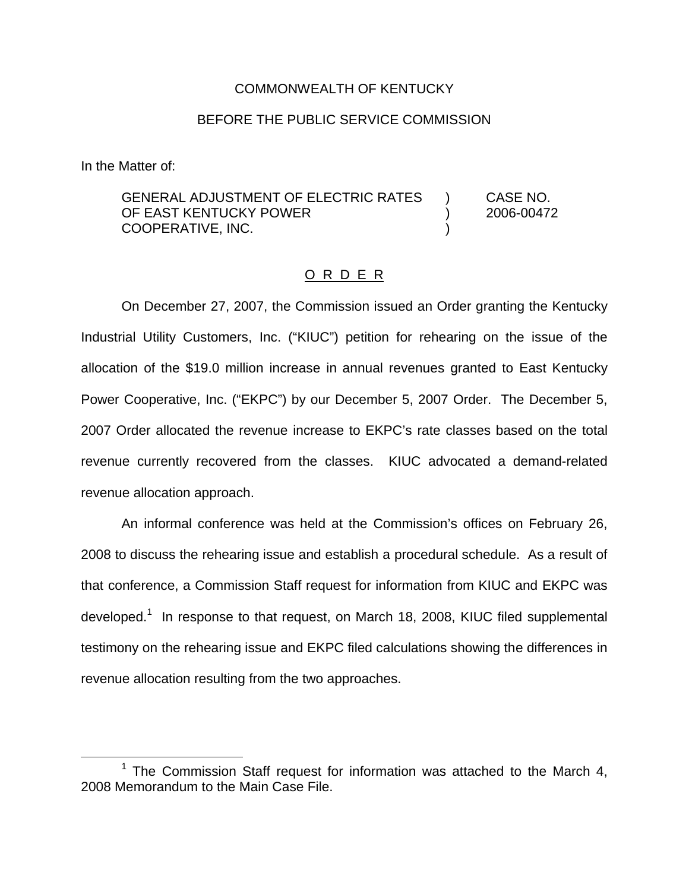## COMMONWEALTH OF KENTUCKY

## BEFORE THE PUBLIC SERVICE COMMISSION

In the Matter of:

GENERAL ADJUSTMENT OF ELECTRIC RATES ) CASE NO. OF EAST KENTUCKY POWER (2006-00472 COOPERATIVE, INC. )

### O R D E R

On December 27, 2007, the Commission issued an Order granting the Kentucky Industrial Utility Customers, Inc. ("KIUC") petition for rehearing on the issue of the allocation of the \$19.0 million increase in annual revenues granted to East Kentucky Power Cooperative, Inc. ("EKPC") by our December 5, 2007 Order. The December 5, 2007 Order allocated the revenue increase to EKPC's rate classes based on the total revenue currently recovered from the classes. KIUC advocated a demand-related revenue allocation approach.

An informal conference was held at the Commission's offices on February 26, 2008 to discuss the rehearing issue and establish a procedural schedule. As a result of that conference, a Commission Staff request for information from KIUC and EKPC was developed.<sup>1</sup> In response to that request, on March 18, 2008, KIUC filed supplemental testimony on the rehearing issue and EKPC filed calculations showing the differences in revenue allocation resulting from the two approaches.

 $1$  The Commission Staff request for information was attached to the March 4, 2008 Memorandum to the Main Case File.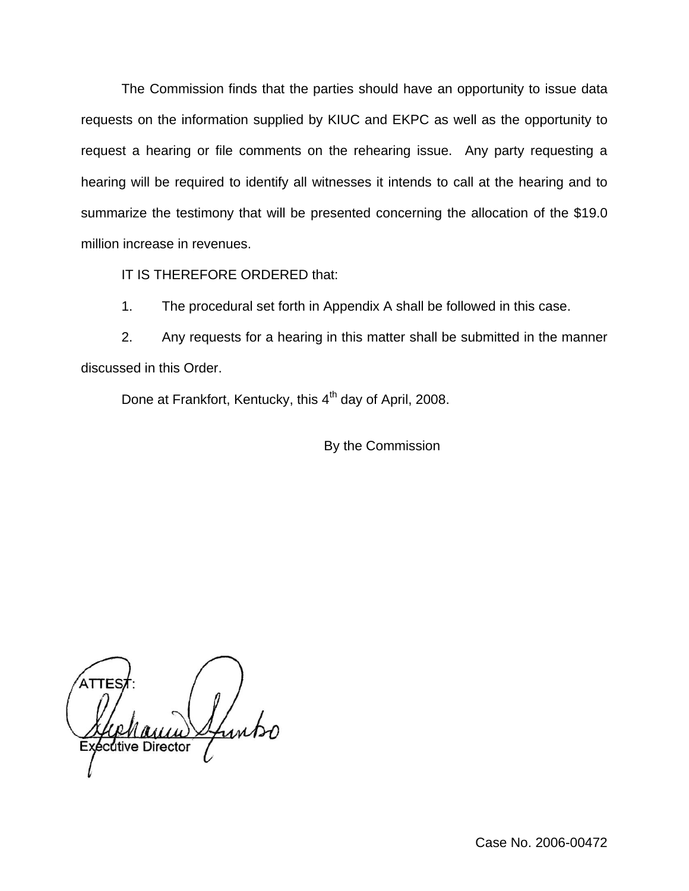The Commission finds that the parties should have an opportunity to issue data requests on the information supplied by KIUC and EKPC as well as the opportunity to request a hearing or file comments on the rehearing issue. Any party requesting a hearing will be required to identify all witnesses it intends to call at the hearing and to summarize the testimony that will be presented concerning the allocation of the \$19.0 million increase in revenues.

IT IS THEREFORE ORDERED that:

1. The procedural set forth in Appendix A shall be followed in this case.

2. Any requests for a hearing in this matter shall be submitted in the manner discussed in this Order.

Done at Frankfort, Kentucky, this 4<sup>th</sup> day of April, 2008.

By the Commission

itive Director